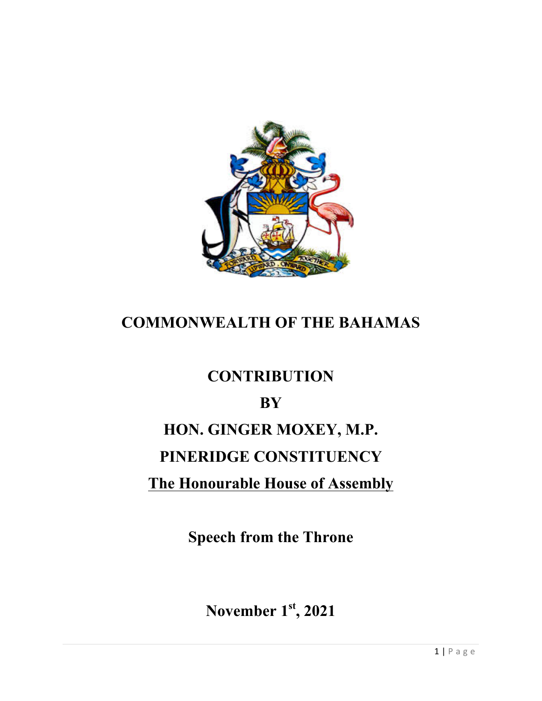

### **COMMONWEALTH OF THE BAHAMAS**

### **CONTRIBUTION**

### **BY**

# **HON. GINGER MOXEY, M.P.**

# **PINERIDGE CONSTITUENCY**

## **The Honourable House of Assembly**

**Speech from the Throne**

**November 1st, 2021**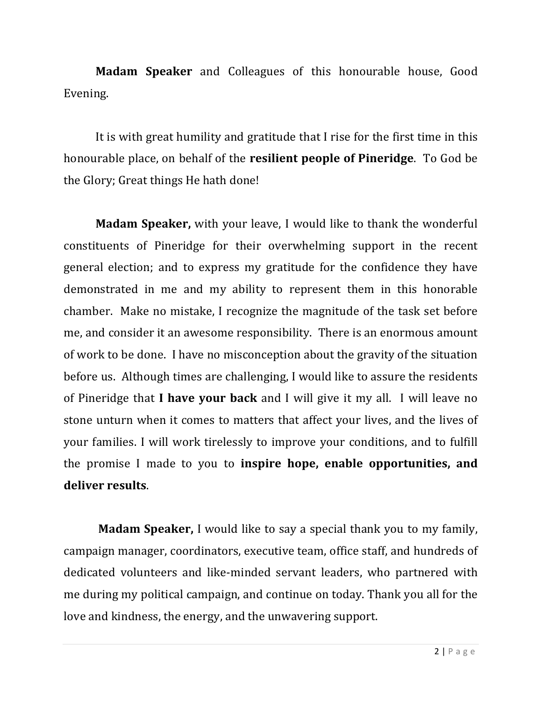**Madam Speaker** and Colleagues of this honourable house, Good Evening. 

It is with great humility and gratitude that I rise for the first time in this honourable place, on behalf of the **resilient people of Pineridge**. To God be the Glory; Great things He hath done!

**Madam Speaker,** with your leave, I would like to thank the wonderful constituents of Pineridge for their overwhelming support in the recent general election; and to express my gratitude for the confidence they have demonstrated in me and my ability to represent them in this honorable chamber. Make no mistake, I recognize the magnitude of the task set before me, and consider it an awesome responsibility. There is an enormous amount of work to be done. I have no misconception about the gravity of the situation before us. Although times are challenging, I would like to assure the residents of Pineridge that **I have your back** and I will give it my all. I will leave no stone unturn when it comes to matters that affect your lives, and the lives of your families. I will work tirelessly to improve your conditions, and to fulfill the promise I made to you to **inspire hope, enable opportunities, and deliver results**. 

**Madam Speaker,** I would like to say a special thank you to my family, campaign manager, coordinators, executive team, office staff, and hundreds of dedicated volunteers and like-minded servant leaders, who partnered with me during my political campaign, and continue on today. Thank you all for the love and kindness, the energy, and the unwavering support.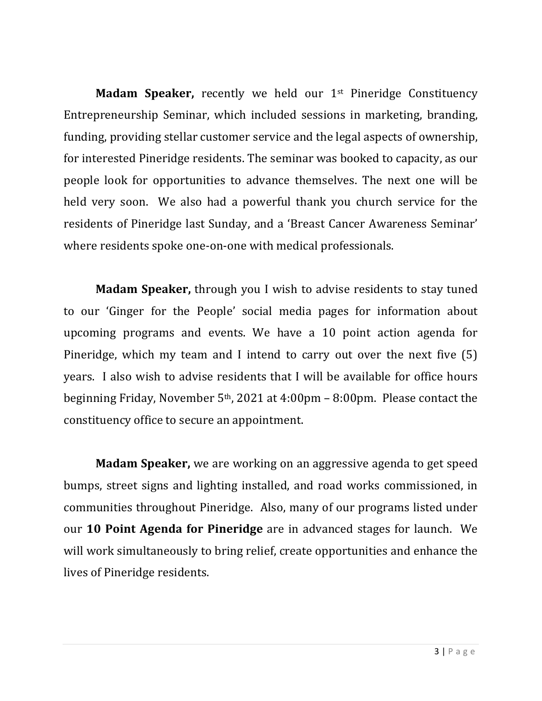**Madam Speaker,** recently we held our 1<sup>st</sup> Pineridge Constituency Entrepreneurship Seminar, which included sessions in marketing, branding, funding, providing stellar customer service and the legal aspects of ownership, for interested Pineridge residents. The seminar was booked to capacity, as our people look for opportunities to advance themselves. The next one will be held very soon. We also had a powerful thank you church service for the residents of Pineridge last Sunday, and a 'Breast Cancer Awareness Seminar' where residents spoke one-on-one with medical professionals.

**Madam Speaker,** through you I wish to advise residents to stay tuned to our 'Ginger for the People' social media pages for information about upcoming programs and events. We have a 10 point action agenda for Pineridge, which my team and I intend to carry out over the next five  $(5)$ years. I also wish to advise residents that I will be available for office hours beginning Friday, November  $5<sup>th</sup>$ , 2021 at 4:00pm – 8:00pm. Please contact the constituency office to secure an appointment.

**Madam Speaker,** we are working on an aggressive agenda to get speed bumps, street signs and lighting installed, and road works commissioned, in communities throughout Pineridge. Also, many of our programs listed under our 10 Point Agenda for Pineridge are in advanced stages for launch. We will work simultaneously to bring relief, create opportunities and enhance the lives of Pineridge residents.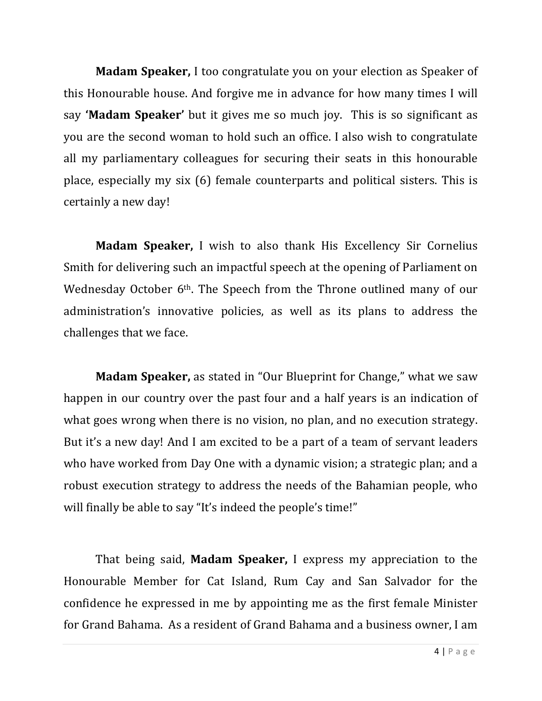**Madam Speaker,** I too congratulate you on your election as Speaker of this Honourable house. And forgive me in advance for how many times I will say **'Madam Speaker'** but it gives me so much joy. This is so significant as you are the second woman to hold such an office. I also wish to congratulate all my parliamentary colleagues for securing their seats in this honourable place, especially my six  $(6)$  female counterparts and political sisters. This is certainly a new day!

**Madam Speaker,** I wish to also thank His Excellency Sir Cornelius Smith for delivering such an impactful speech at the opening of Parliament on Wednesday October  $6<sup>th</sup>$ . The Speech from the Throne outlined many of our administration's innovative policies, as well as its plans to address the challenges that we face.

**Madam Speaker,** as stated in "Our Blueprint for Change," what we saw happen in our country over the past four and a half years is an indication of what goes wrong when there is no vision, no plan, and no execution strategy. But it's a new day! And I am excited to be a part of a team of servant leaders who have worked from Day One with a dynamic vision; a strategic plan; and a robust execution strategy to address the needs of the Bahamian people, who will finally be able to say "It's indeed the people's time!"

That being said, **Madam Speaker**, I express my appreciation to the Honourable Member for Cat Island, Rum Cay and San Salvador for the confidence he expressed in me by appointing me as the first female Minister for Grand Bahama. As a resident of Grand Bahama and a business owner, I am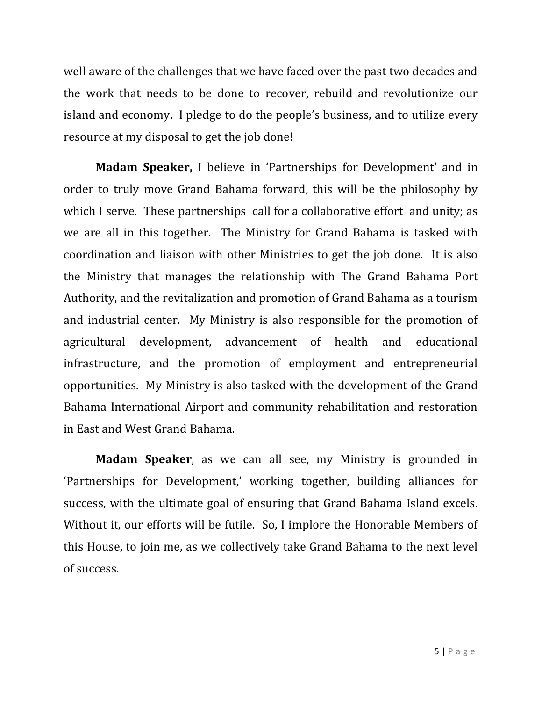well aware of the challenges that we have faced over the past two decades and the work that needs to be done to recover, rebuild and revolutionize our island and economy. I pledge to do the people's business, and to utilize every resource at my disposal to get the job done!

**Madam Speaker,** I believe in 'Partnerships for Development' and in order to truly move Grand Bahama forward, this will be the philosophy by which I serve. These partnerships call for a collaborative effort and unity; as we are all in this together. The Ministry for Grand Bahama is tasked with coordination and liaison with other Ministries to get the job done. It is also the Ministry that manages the relationship with The Grand Bahama Port Authority, and the revitalization and promotion of Grand Bahama as a tourism and industrial center. My Ministry is also responsible for the promotion of agricultural development, advancement of health and educational infrastructure, and the promotion of employment and entrepreneurial opportunities. My Ministry is also tasked with the development of the Grand Bahama International Airport and community rehabilitation and restoration in East and West Grand Bahama.

**Madam Speaker**, as we can all see, my Ministry is grounded in 'Partnerships for Development,' working together, building alliances for success, with the ultimate goal of ensuring that Grand Bahama Island excels. Without it, our efforts will be futile. So, I implore the Honorable Members of this House, to join me, as we collectively take Grand Bahama to the next level of success.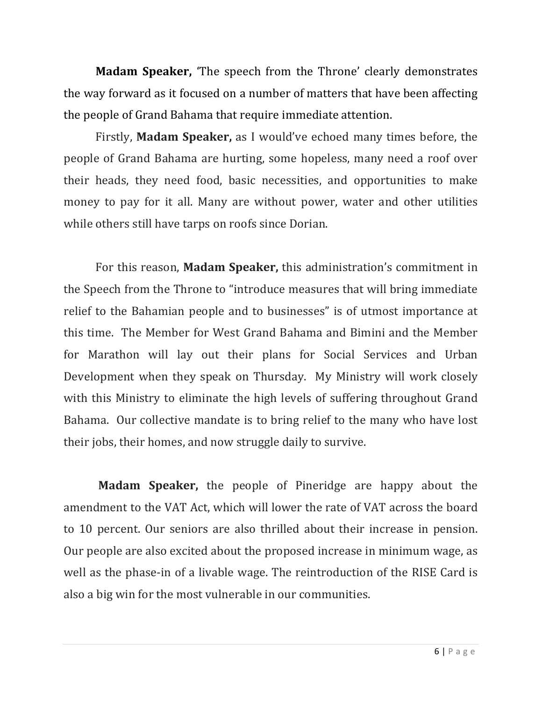**Madam Speaker,** The speech from the Throne' clearly demonstrates the way forward as it focused on a number of matters that have been affecting the people of Grand Bahama that require immediate attention.

Firstly, **Madam Speaker**, as I would've echoed many times before, the people of Grand Bahama are hurting, some hopeless, many need a roof over their heads, they need food, basic necessities, and opportunities to make money to pay for it all. Many are without power, water and other utilities while others still have tarps on roofs since Dorian.

For this reason, **Madam Speaker**, this administration's commitment in the Speech from the Throne to "introduce measures that will bring immediate relief to the Bahamian people and to businesses" is of utmost importance at this time. The Member for West Grand Bahama and Bimini and the Member for Marathon will lay out their plans for Social Services and Urban Development when they speak on Thursday. My Ministry will work closely with this Ministry to eliminate the high levels of suffering throughout Grand Bahama. Our collective mandate is to bring relief to the many who have lost their jobs, their homes, and now struggle daily to survive.

**Madam Speaker,** the people of Pineridge are happy about the amendment to the VAT Act, which will lower the rate of VAT across the board to 10 percent. Our seniors are also thrilled about their increase in pension. Our people are also excited about the proposed increase in minimum wage, as well as the phase-in of a livable wage. The reintroduction of the RISE Card is also a big win for the most vulnerable in our communities.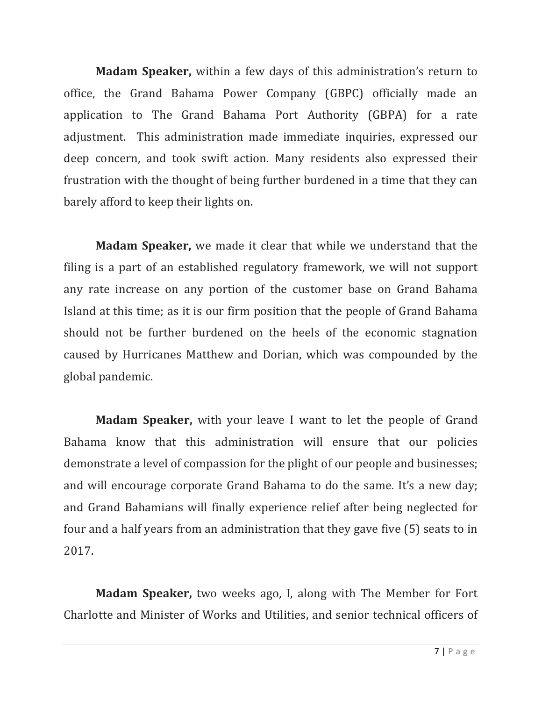**Madam Speaker,** within a few days of this administration's return to office, the Grand Bahama Power Company (GBPC) officially made an application to The Grand Bahama Port Authority (GBPA) for a rate adjustment. This administration made immediate inquiries, expressed our deep concern, and took swift action. Many residents also expressed their frustration with the thought of being further burdened in a time that they can barely afford to keep their lights on.

**Madam Speaker,** we made it clear that while we understand that the filing is a part of an established regulatory framework, we will not support any rate increase on any portion of the customer base on Grand Bahama Island at this time; as it is our firm position that the people of Grand Bahama should not be further burdened on the heels of the economic stagnation caused by Hurricanes Matthew and Dorian, which was compounded by the global pandemic.

**Madam Speaker,** with your leave I want to let the people of Grand Bahama know that this administration will ensure that our policies demonstrate a level of compassion for the plight of our people and businesses; and will encourage corporate Grand Bahama to do the same. It's a new day; and Grand Bahamians will finally experience relief after being neglected for four and a half years from an administration that they gave five  $(5)$  seats to in 2017.

**Madam Speaker,** two weeks ago, I, along with The Member for Fort Charlotte and Minister of Works and Utilities, and senior technical officers of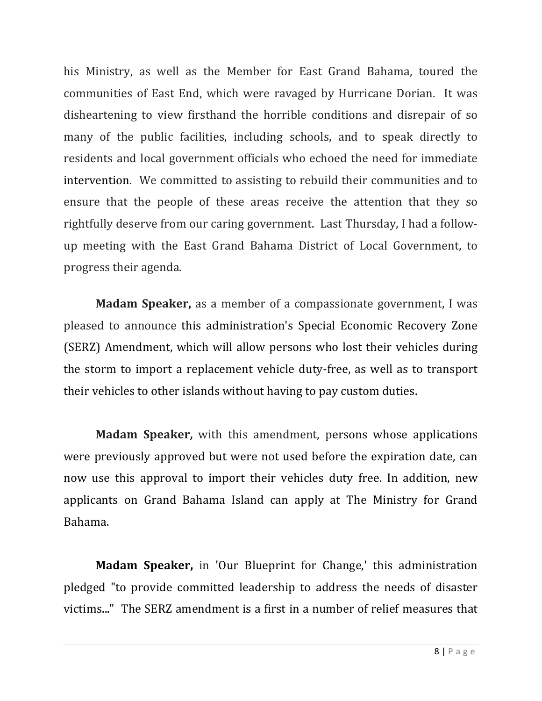his Ministry, as well as the Member for East Grand Bahama, toured the communities of East End, which were ravaged by Hurricane Dorian. It was disheartening to view firsthand the horrible conditions and disrepair of so many of the public facilities, including schools, and to speak directly to residents and local government officials who echoed the need for immediate intervention. We committed to assisting to rebuild their communities and to ensure that the people of these areas receive the attention that they so rightfully deserve from our caring government. Last Thursday, I had a followup meeting with the East Grand Bahama District of Local Government, to progress their agenda.

**Madam Speaker,** as a member of a compassionate government, I was pleased to announce this administration's Special Economic Recovery Zone (SERZ) Amendment, which will allow persons who lost their vehicles during the storm to import a replacement vehicle duty-free, as well as to transport their vehicles to other islands without having to pay custom duties.

**Madam Speaker,** with this amendment, persons whose applications were previously approved but were not used before the expiration date, can now use this approval to import their vehicles duty free. In addition, new applicants on Grand Bahama Island can apply at The Ministry for Grand Bahama.

**Madam Speaker,** in 'Our Blueprint for Change,' this administration pledged "to provide committed leadership to address the needs of disaster victims..." The SERZ amendment is a first in a number of relief measures that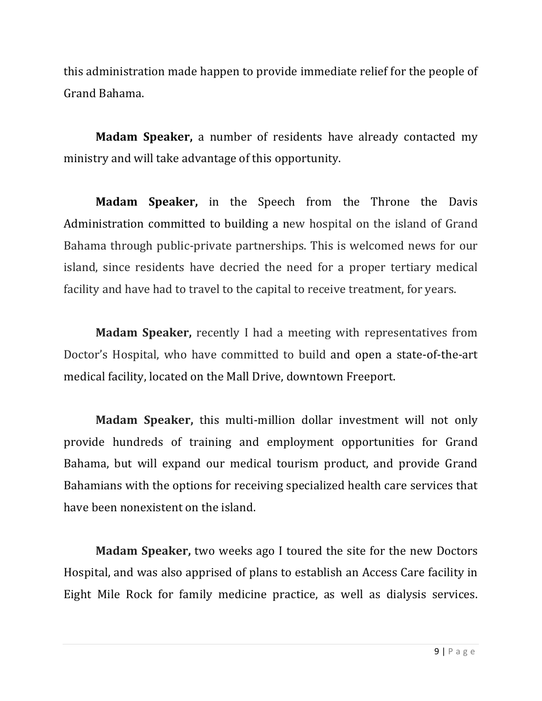this administration made happen to provide immediate relief for the people of Grand Bahama. 

**Madam Speaker,** a number of residents have already contacted my ministry and will take advantage of this opportunity.

**Madam Speaker,** in the Speech from the Throne the Davis Administration committed to building a new hospital on the island of Grand Bahama through public-private partnerships. This is welcomed news for our island, since residents have decried the need for a proper tertiary medical facility and have had to travel to the capital to receive treatment, for years.

**Madam Speaker,** recently I had a meeting with representatives from Doctor's Hospital, who have committed to build and open a state-of-the-art medical facility, located on the Mall Drive, downtown Freeport.

**Madam Speaker,** this multi-million dollar investment will not only provide hundreds of training and employment opportunities for Grand Bahama, but will expand our medical tourism product, and provide Grand Bahamians with the options for receiving specialized health care services that have been nonexistent on the island.

**Madam Speaker,** two weeks ago I toured the site for the new Doctors Hospital, and was also apprised of plans to establish an Access Care facility in Eight Mile Rock for family medicine practice, as well as dialysis services.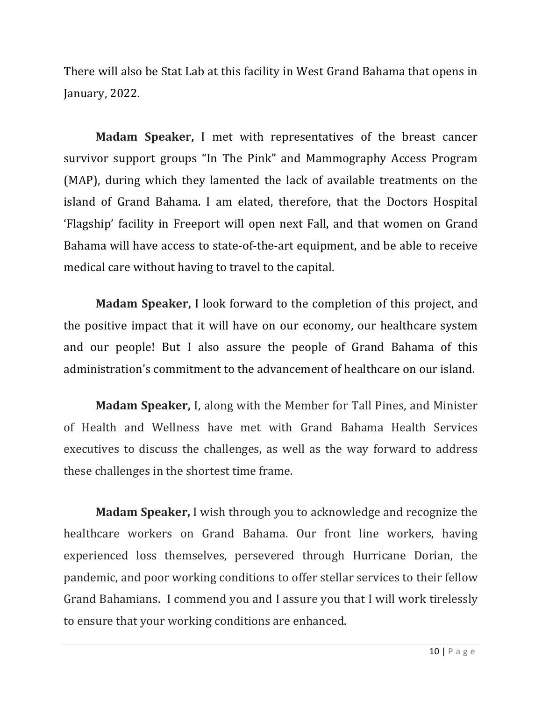There will also be Stat Lab at this facility in West Grand Bahama that opens in January, 2022.

**Madam Speaker,** I met with representatives of the breast cancer survivor support groups "In The Pink" and Mammography Access Program (MAP), during which they lamented the lack of available treatments on the island of Grand Bahama. I am elated, therefore, that the Doctors Hospital 'Flagship' facility in Freeport will open next Fall, and that women on Grand Bahama will have access to state-of-the-art equipment, and be able to receive medical care without having to travel to the capital.

**Madam Speaker,** I look forward to the completion of this project, and the positive impact that it will have on our economy, our healthcare system and our people! But I also assure the people of Grand Bahama of this administration's commitment to the advancement of healthcare on our island.

**Madam Speaker, I, along with the Member for Tall Pines, and Minister** of Health and Wellness have met with Grand Bahama Health Services executives to discuss the challenges, as well as the way forward to address these challenges in the shortest time frame.

**Madam Speaker,** I wish through you to acknowledge and recognize the healthcare workers on Grand Bahama. Our front line workers, having experienced loss themselves, persevered through Hurricane Dorian, the pandemic, and poor working conditions to offer stellar services to their fellow Grand Bahamians. I commend you and I assure you that I will work tirelessly to ensure that your working conditions are enhanced.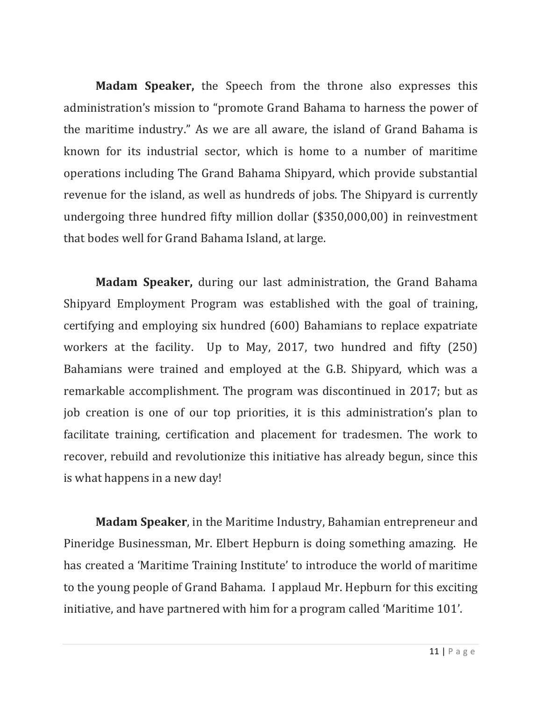**Madam Speaker,** the Speech from the throne also expresses this administration's mission to "promote Grand Bahama to harness the power of the maritime industry." As we are all aware, the island of Grand Bahama is known for its industrial sector, which is home to a number of maritime operations including The Grand Bahama Shipyard, which provide substantial revenue for the island, as well as hundreds of jobs. The Shipyard is currently undergoing three hundred fifty million dollar  $($350,000,00)$  in reinvestment that bodes well for Grand Bahama Island, at large.

**Madam Speaker,** during our last administration, the Grand Bahama Shipyard Employment Program was established with the goal of training, certifying and employing six hundred (600) Bahamians to replace expatriate workers at the facility. Up to May, 2017, two hundred and fifty  $(250)$ Bahamians were trained and employed at the G.B. Shipyard, which was a remarkable accomplishment. The program was discontinued in 2017; but as job creation is one of our top priorities, it is this administration's plan to facilitate training, certification and placement for tradesmen. The work to recover, rebuild and revolutionize this initiative has already begun, since this is what happens in a new day!

**Madam Speaker**, in the Maritime Industry, Bahamian entrepreneur and Pineridge Businessman, Mr. Elbert Hepburn is doing something amazing. He has created a 'Maritime Training Institute' to introduce the world of maritime to the young people of Grand Bahama. I applaud Mr. Hepburn for this exciting initiative, and have partnered with him for a program called 'Maritime 101'.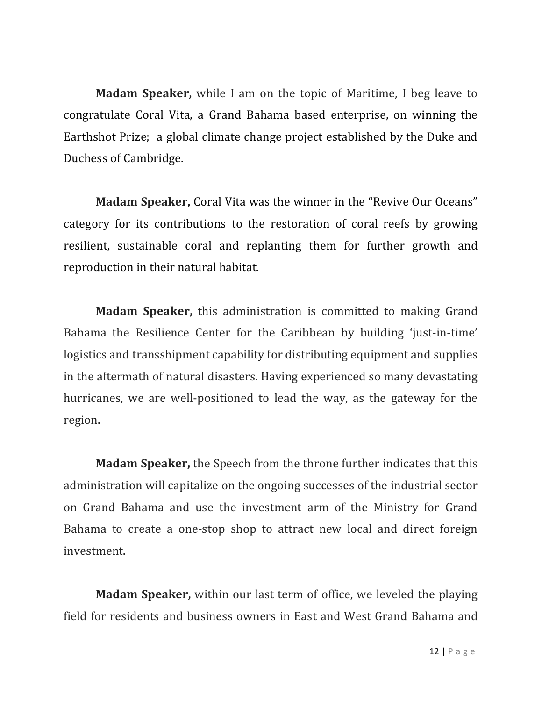**Madam Speaker,** while I am on the topic of Maritime, I beg leave to congratulate Coral Vita, a Grand Bahama based enterprise, on winning the Earthshot Prize; a global climate change project established by the Duke and Duchess of Cambridge.

**Madam Speaker,** Coral Vita was the winner in the "Revive Our Oceans" category for its contributions to the restoration of coral reefs by growing resilient, sustainable coral and replanting them for further growth and reproduction in their natural habitat.

**Madam Speaker,** this administration is committed to making Grand Bahama the Resilience Center for the Caribbean by building 'just-in-time' logistics and transshipment capability for distributing equipment and supplies in the aftermath of natural disasters. Having experienced so many devastating hurricanes, we are well-positioned to lead the way, as the gateway for the region. 

**Madam Speaker,** the Speech from the throne further indicates that this administration will capitalize on the ongoing successes of the industrial sector on Grand Bahama and use the investment arm of the Ministry for Grand Bahama to create a one-stop shop to attract new local and direct foreign investment.

**Madam Speaker,** within our last term of office, we leveled the playing field for residents and business owners in East and West Grand Bahama and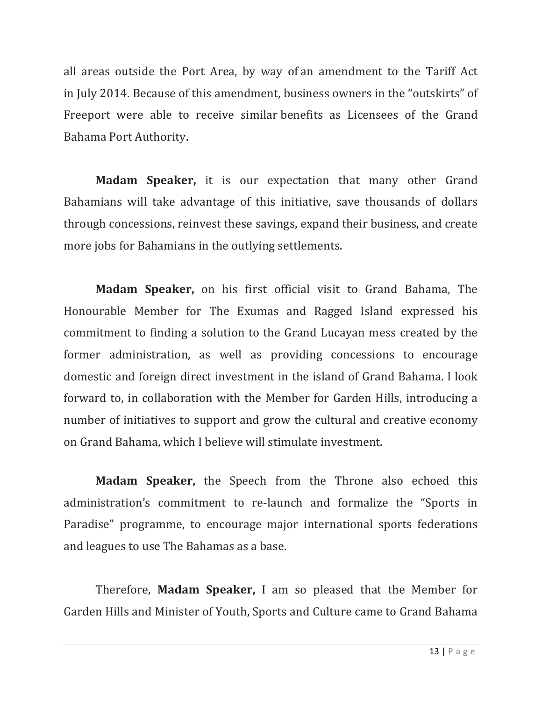all areas outside the Port Area, by way of an amendment to the Tariff Act in July 2014. Because of this amendment, business owners in the "outskirts" of Freeport were able to receive similar benefits as Licensees of the Grand Bahama Port Authority.

**Madam Speaker,** it is our expectation that many other Grand Bahamians will take advantage of this initiative, save thousands of dollars through concessions, reinvest these savings, expand their business, and create more jobs for Bahamians in the outlying settlements.

**Madam Speaker,** on his first official visit to Grand Bahama, The Honourable Member for The Exumas and Ragged Island expressed his commitment to finding a solution to the Grand Lucayan mess created by the former administration, as well as providing concessions to encourage domestic and foreign direct investment in the island of Grand Bahama. I look forward to, in collaboration with the Member for Garden Hills, introducing a number of initiatives to support and grow the cultural and creative economy on Grand Bahama, which I believe will stimulate investment.

**Madam Speaker,** the Speech from the Throne also echoed this administration's commitment to re-launch and formalize the "Sports in Paradise" programme, to encourage major international sports federations and leagues to use The Bahamas as a base.

Therefore, **Madam Speaker**, I am so pleased that the Member for Garden Hills and Minister of Youth, Sports and Culture came to Grand Bahama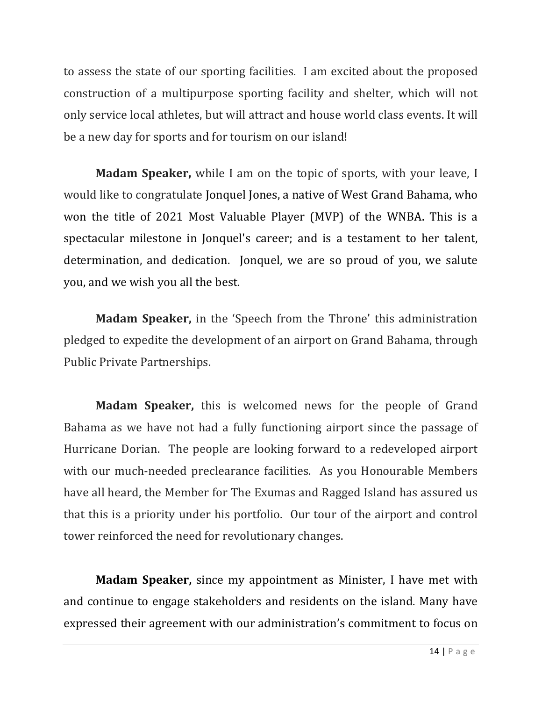to assess the state of our sporting facilities. I am excited about the proposed construction of a multipurpose sporting facility and shelter, which will not only service local athletes, but will attract and house world class events. It will be a new day for sports and for tourism on our island!

**Madam Speaker,** while I am on the topic of sports, with your leave, I would like to congratulate Jonquel Jones, a native of West Grand Bahama, who won the title of 2021 Most Valuable Player (MVP) of the WNBA. This is a spectacular milestone in Jonquel's career; and is a testament to her talent, determination, and dedication. Jonquel, we are so proud of you, we salute you, and we wish you all the best.

**Madam Speaker,** in the 'Speech from the Throne' this administration pledged to expedite the development of an airport on Grand Bahama, through Public Private Partnerships.

**Madam Speaker,** this is welcomed news for the people of Grand Bahama as we have not had a fully functioning airport since the passage of Hurricane Dorian. The people are looking forward to a redeveloped airport with our much-needed preclearance facilities. As you Honourable Members have all heard, the Member for The Exumas and Ragged Island has assured us that this is a priority under his portfolio. Our tour of the airport and control tower reinforced the need for revolutionary changes.

**Madam Speaker,** since my appointment as Minister, I have met with and continue to engage stakeholders and residents on the island. Many have expressed their agreement with our administration's commitment to focus on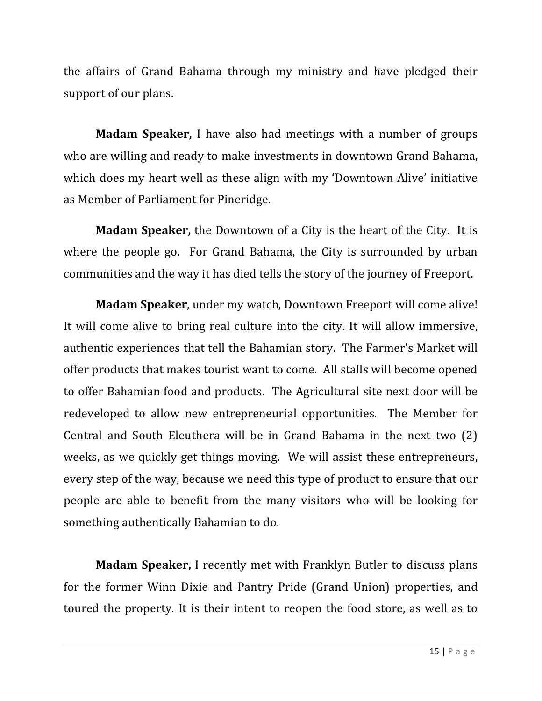the affairs of Grand Bahama through my ministry and have pledged their support of our plans.

**Madam Speaker,** I have also had meetings with a number of groups who are willing and ready to make investments in downtown Grand Bahama, which does my heart well as these align with my 'Downtown Alive' initiative as Member of Parliament for Pineridge.

**Madam Speaker,** the Downtown of a City is the heart of the City. It is where the people go. For Grand Bahama, the City is surrounded by urban communities and the way it has died tells the story of the journey of Freeport.

**Madam Speaker**, under my watch, Downtown Freeport will come alive! It will come alive to bring real culture into the city. It will allow immersive, authentic experiences that tell the Bahamian story. The Farmer's Market will offer products that makes tourist want to come. All stalls will become opened to offer Bahamian food and products. The Agricultural site next door will be redeveloped to allow new entrepreneurial opportunities. The Member for Central and South Eleuthera will be in Grand Bahama in the next two  $(2)$ weeks, as we quickly get things moving. We will assist these entrepreneurs, every step of the way, because we need this type of product to ensure that our people are able to benefit from the many visitors who will be looking for something authentically Bahamian to do.

**Madam Speaker, I** recently met with Franklyn Butler to discuss plans for the former Winn Dixie and Pantry Pride (Grand Union) properties, and toured the property. It is their intent to reopen the food store, as well as to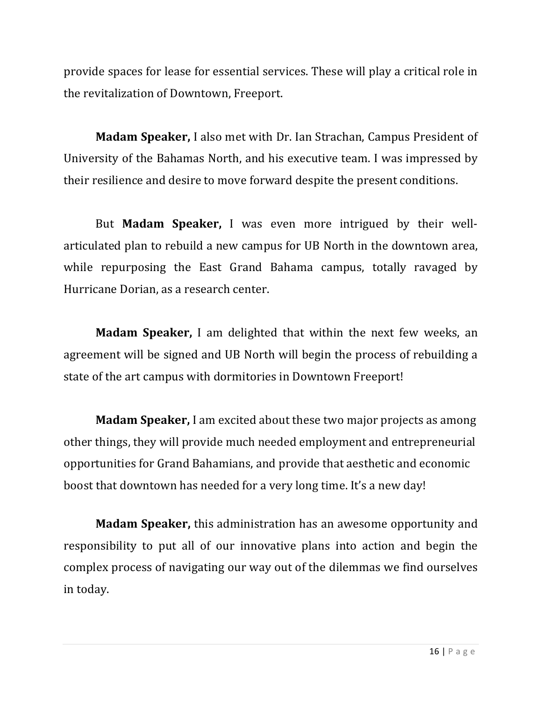provide spaces for lease for essential services. These will play a critical role in the revitalization of Downtown, Freeport.

**Madam Speaker,** I also met with Dr. Ian Strachan, Campus President of University of the Bahamas North, and his executive team. I was impressed by their resilience and desire to move forward despite the present conditions.

But **Madam Speaker**, I was even more intrigued by their wellarticulated plan to rebuild a new campus for UB North in the downtown area, while repurposing the East Grand Bahama campus, totally ravaged by Hurricane Dorian, as a research center.

**Madam Speaker,** I am delighted that within the next few weeks, an agreement will be signed and UB North will begin the process of rebuilding a state of the art campus with dormitories in Downtown Freeport!

**Madam Speaker,** I am excited about these two major projects as among other things, they will provide much needed employment and entrepreneurial opportunities for Grand Bahamians, and provide that aesthetic and economic boost that downtown has needed for a very long time. It's a new day!

**Madam Speaker,** this administration has an awesome opportunity and responsibility to put all of our innovative plans into action and begin the complex process of navigating our way out of the dilemmas we find ourselves in today.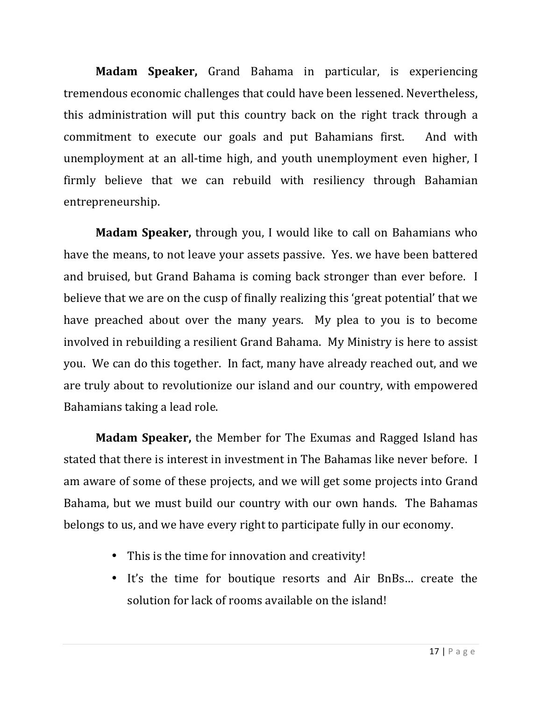**Madam Speaker,** Grand Bahama in particular, is experiencing tremendous economic challenges that could have been lessened. Nevertheless, this administration will put this country back on the right track through a commitment to execute our goals and put Bahamians first. And with unemployment at an all-time high, and youth unemployment even higher, I firmly believe that we can rebuild with resiliency through Bahamian entrepreneurship. 

**Madam Speaker,** through you, I would like to call on Bahamians who have the means, to not leave your assets passive. Yes. we have been battered and bruised, but Grand Bahama is coming back stronger than ever before. I believe that we are on the cusp of finally realizing this 'great potential' that we have preached about over the many years. My plea to you is to become involved in rebuilding a resilient Grand Bahama. My Ministry is here to assist you. We can do this together. In fact, many have already reached out, and we are truly about to revolutionize our island and our country, with empowered Bahamians taking a lead role.

**Madam Speaker,** the Member for The Exumas and Ragged Island has stated that there is interest in investment in The Bahamas like never before. I am aware of some of these projects, and we will get some projects into Grand Bahama, but we must build our country with our own hands. The Bahamas belongs to us, and we have every right to participate fully in our economy.

- This is the time for innovation and creativity!
- It's the time for boutique resorts and Air BnBs... create the solution for lack of rooms available on the island!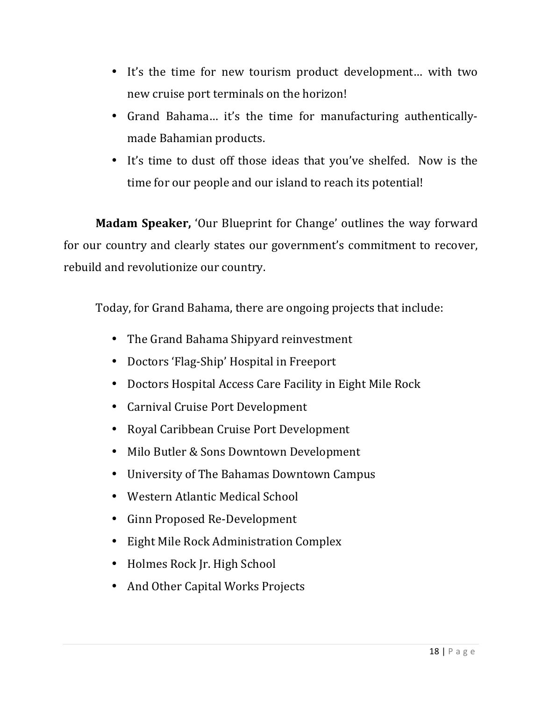- It's the time for new tourism product development... with two new cruise port terminals on the horizon!
- Grand Bahama... it's the time for manufacturing authenticallymade Bahamian products.
- It's time to dust off those ideas that you've shelfed. Now is the time for our people and our island to reach its potential!

**Madam Speaker,** 'Our Blueprint for Change' outlines the way forward for our country and clearly states our government's commitment to recover, rebuild and revolutionize our country.

Today, for Grand Bahama, there are ongoing projects that include:

- The Grand Bahama Shipyard reinvestment
- Doctors 'Flag-Ship' Hospital in Freeport
- Doctors Hospital Access Care Facility in Eight Mile Rock
- Carnival Cruise Port Development
- Royal Caribbean Cruise Port Development
- Milo Butler & Sons Downtown Development
- University of The Bahamas Downtown Campus
- Western Atlantic Medical School
- Ginn Proposed Re-Development
- Eight Mile Rock Administration Complex
- Holmes Rock Jr. High School
- And Other Capital Works Projects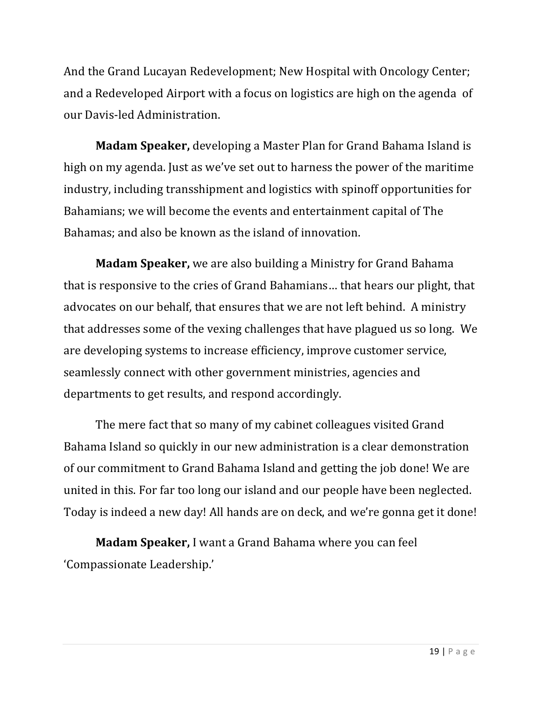And the Grand Lucayan Redevelopment; New Hospital with Oncology Center; and a Redeveloped Airport with a focus on logistics are high on the agenda of our Davis-led Administration.

**Madam Speaker,** developing a Master Plan for Grand Bahama Island is high on my agenda. Just as we've set out to harness the power of the maritime industry, including transshipment and logistics with spinoff opportunities for Bahamians; we will become the events and entertainment capital of The Bahamas; and also be known as the island of innovation.

**Madam Speaker,** we are also building a Ministry for Grand Bahama that is responsive to the cries of Grand Bahamians... that hears our plight, that advocates on our behalf, that ensures that we are not left behind. A ministry that addresses some of the vexing challenges that have plagued us so long. We are developing systems to increase efficiency, improve customer service, seamlessly connect with other government ministries, agencies and departments to get results, and respond accordingly.

The mere fact that so many of my cabinet colleagues visited Grand Bahama Island so quickly in our new administration is a clear demonstration of our commitment to Grand Bahama Island and getting the job done! We are united in this. For far too long our island and our people have been neglected. Today is indeed a new day! All hands are on deck, and we're gonna get it done!

**Madam Speaker, I** want a Grand Bahama where you can feel 'Compassionate Leadership.'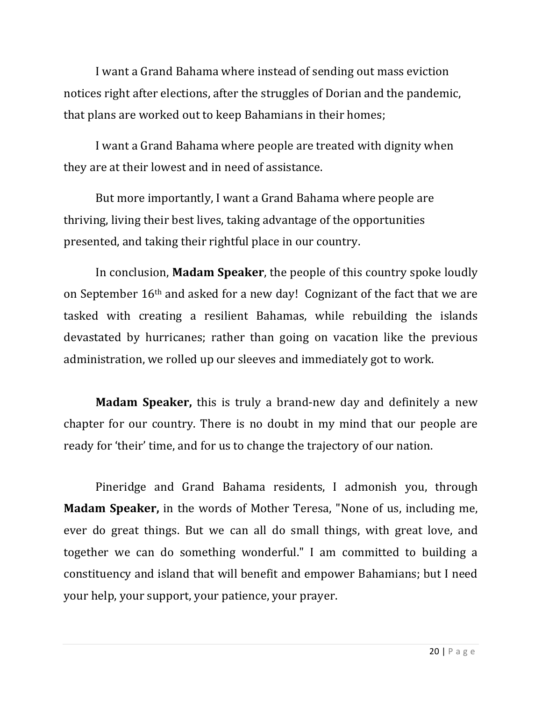I want a Grand Bahama where instead of sending out mass eviction notices right after elections, after the struggles of Dorian and the pandemic, that plans are worked out to keep Bahamians in their homes;

I want a Grand Bahama where people are treated with dignity when they are at their lowest and in need of assistance.

But more importantly, I want a Grand Bahama where people are thriving, living their best lives, taking advantage of the opportunities presented, and taking their rightful place in our country.

In conclusion, **Madam Speaker**, the people of this country spoke loudly on September  $16<sup>th</sup>$  and asked for a new day! Cognizant of the fact that we are tasked with creating a resilient Bahamas, while rebuilding the islands devastated by hurricanes; rather than going on vacation like the previous administration, we rolled up our sleeves and immediately got to work.

**Madam Speaker,** this is truly a brand-new day and definitely a new chapter for our country. There is no doubt in my mind that our people are ready for 'their' time, and for us to change the trajectory of our nation.

Pineridge and Grand Bahama residents, I admonish you, through **Madam Speaker,** in the words of Mother Teresa, "None of us, including me, ever do great things. But we can all do small things, with great love, and together we can do something wonderful." I am committed to building a constituency and island that will benefit and empower Bahamians; but I need your help, your support, your patience, your prayer.